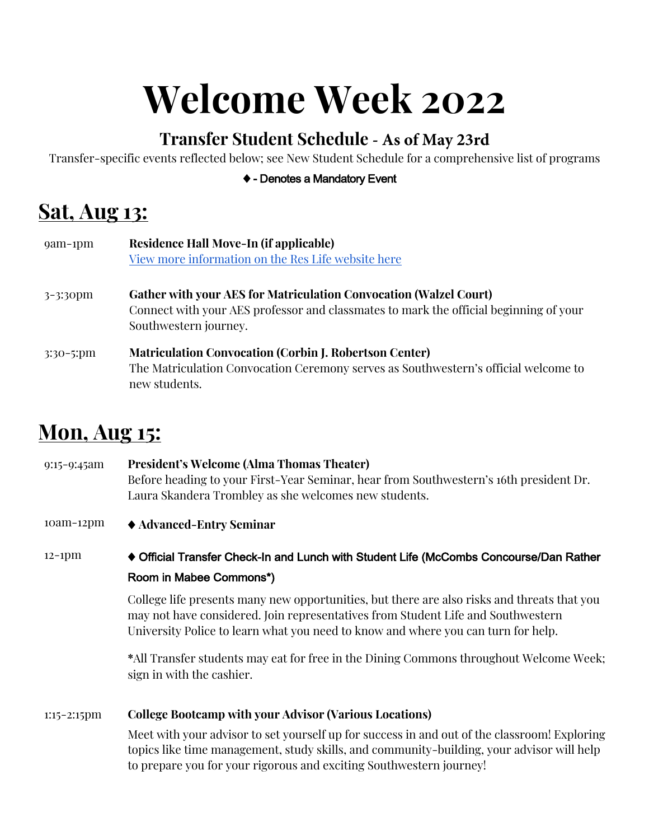# **Welcome Week 2022**

### **Transfer Student Schedule - As of May 23rd**

Transfer-specific events reflected below; see New Student Schedule for a comprehensive list of programs

#### $\blacklozenge$  - Denotes a Mandatory Event

# **Sat, Aug 13:**

| $9am-1pm$            | Residence Hall Move-In (if applicable)<br>View more information on the Res Life website here                                                                                               |
|----------------------|--------------------------------------------------------------------------------------------------------------------------------------------------------------------------------------------|
| $3 - 3.30 \text{pm}$ | <b>Gather with your AES for Matriculation Convocation (Walzel Court)</b><br>Connect with your AES professor and classmates to mark the official beginning of your<br>Southwestern journey. |
| $3:30-5:pm$          | <b>Matriculation Convocation (Corbin J. Robertson Center)</b><br>The Matriculation Convocation Ceremony serves as Southwestern's official welcome to<br>new students.                      |

### **Mon, Aug 15:**

9:15-9:45am **President's Welcome (Alma Thomas Theater)** Before heading to your First-Year Seminar, hear from Southwestern's 16th president Dr. Laura Skandera Trombley as she welcomes new students.

10am-12pm  $\rightarrow$  Advanced-Entry Seminar

12-1pm ... The Official Transfer Check-In and Lunch with Student Life (McCombs Concourse/Dan Rather Room in Mabee Commons\*)

> College life presents many new opportunities, but there are also risks and threats that you may not have considered. Join representatives from Student Life and Southwestern University Police to learn what you need to know and where you can turn for help.

**\***All Transfer students may eat for free in the Dining Commons throughout Welcome Week; sign in with the cashier.

#### 1:15-2:15pm **College Bootcamp with your Advisor (Various Locations)**

Meet with your advisor to set yourself up for success in and out of the classroom! Exploring topics like time management, study skills, and community-building, your advisor will help to prepare you for your rigorous and exciting Southwestern journey!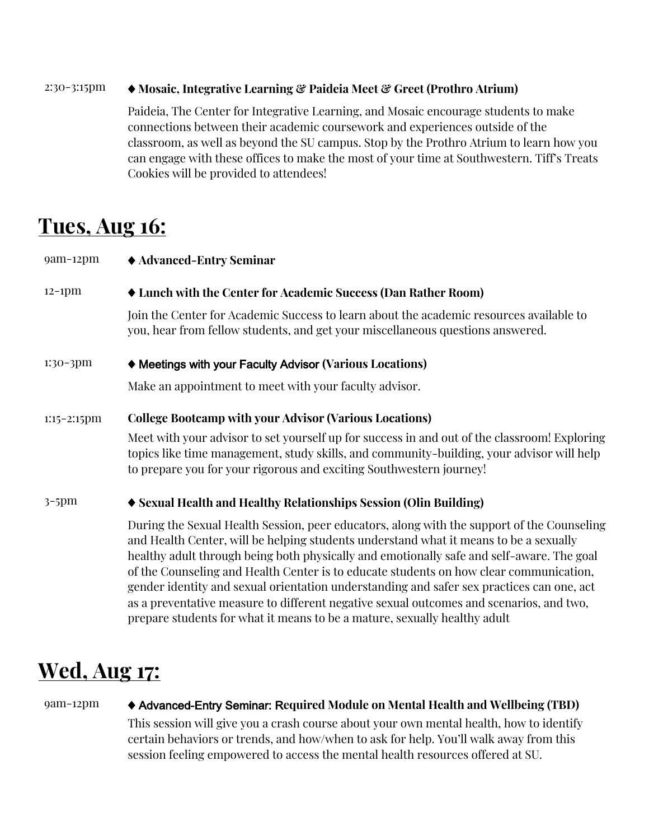#### 2:30-3:15pm ! **Mosaic, Integrative Learning & Paideia Meet & Greet (Prothro Atrium)**

Paideia, The Center for Integrative Learning, and Mosaic encourage students to make connections between their academic coursework and experiences outside of the classroom, as well as beyond the SU campus. Stop by the Prothro Atrium to learn how you can engage with these offices to make the most of your time at Southwestern. Tiff's Treats Cookies will be provided to attendees!

### **Tues, Aug 16:**

| $9am-12pm$     | ◆ Advanced-Entry Seminar                                                                                                                                                                                                                                                                                                                                                                                                                                                                                                                                                                                                                        |
|----------------|-------------------------------------------------------------------------------------------------------------------------------------------------------------------------------------------------------------------------------------------------------------------------------------------------------------------------------------------------------------------------------------------------------------------------------------------------------------------------------------------------------------------------------------------------------------------------------------------------------------------------------------------------|
| $12-1$ pm      | • Lunch with the Center for Academic Success (Dan Rather Room)                                                                                                                                                                                                                                                                                                                                                                                                                                                                                                                                                                                  |
|                | Join the Center for Academic Success to learn about the academic resources available to<br>you, hear from fellow students, and get your miscellaneous questions answered.                                                                                                                                                                                                                                                                                                                                                                                                                                                                       |
| 1:30-3pm       | ♦ Meetings with your Faculty Advisor (Various Locations)                                                                                                                                                                                                                                                                                                                                                                                                                                                                                                                                                                                        |
|                | Make an appointment to meet with your faculty advisor.                                                                                                                                                                                                                                                                                                                                                                                                                                                                                                                                                                                          |
| $1:15-2:15$ pm | <b>College Bootcamp with your Advisor (Various Locations)</b>                                                                                                                                                                                                                                                                                                                                                                                                                                                                                                                                                                                   |
|                | Meet with your advisor to set yourself up for success in and out of the classroom! Exploring<br>topics like time management, study skills, and community-building, your advisor will help<br>to prepare you for your rigorous and exciting Southwestern journey!                                                                                                                                                                                                                                                                                                                                                                                |
| $3-5$ pm       | ♦ Sexual Health and Healthy Relationships Session (Olin Building)                                                                                                                                                                                                                                                                                                                                                                                                                                                                                                                                                                               |
|                | During the Sexual Health Session, peer educators, along with the support of the Counseling<br>and Health Center, will be helping students understand what it means to be a sexually<br>healthy adult through being both physically and emotionally safe and self-aware. The goal<br>of the Counseling and Health Center is to educate students on how clear communication,<br>gender identity and sexual orientation understanding and safer sex practices can one, act<br>as a preventative measure to different negative sexual outcomes and scenarios, and two,<br>prepare students for what it means to be a mature, sexually healthy adult |

# **Wed, Aug 17:**

#### 9am-12pm  $\blacklozenge$  Advanced-Entry Seminar: Required Module on Mental Health and Wellbeing (TBD)

This session will give you a crash course about your own mental health, how to identify certain behaviors or trends, and how/when to ask for help. You'll walk away from this session feeling empowered to access the mental health resources offered at SU.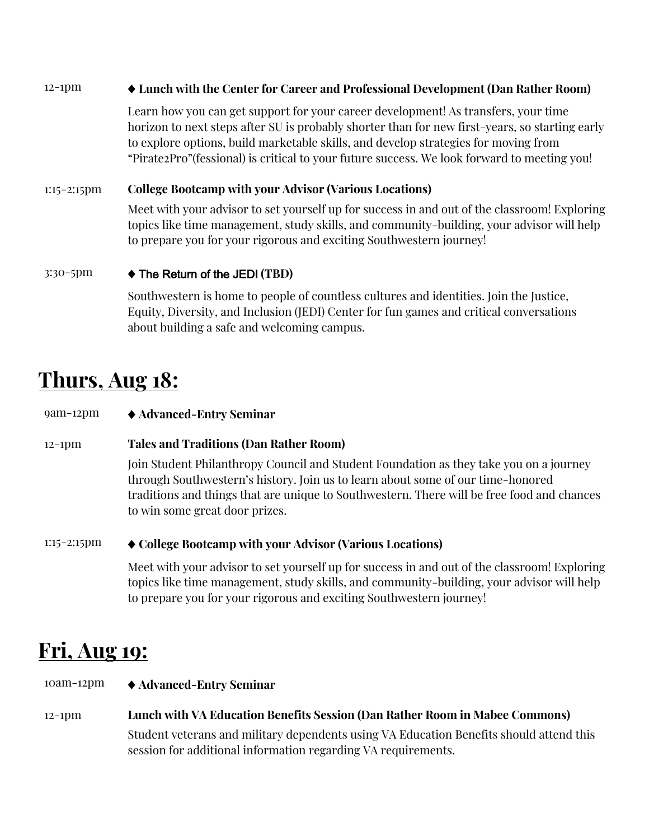#### 12-1pm  $\bullet$  Lunch with the Center for Career and Professional Development (Dan Rather Room)

Learn how you can get support for your career development! As transfers, your time horizon to next steps after SU is probably shorter than for new first-years, so starting early to explore options, build marketable skills, and develop strategies for moving from "Pirate2Pro"(fessional) is critical to your future success. We look forward to meeting you!

#### 1:15-2:15pm **College Bootcamp with your Advisor (Various Locations)**

Meet with your advisor to set yourself up for success in and out of the classroom! Exploring topics like time management, study skills, and community-building, your advisor will help to prepare you for your rigorous and exciting Southwestern journey!

#### 3:30-5pm  $\rightarrow$  The Return of the JEDI (TBD)

Southwestern is home to people of countless cultures and identities. Join the Justice, Equity, Diversity, and Inclusion (JEDI) Center for fun games and critical conversations about building a safe and welcoming campus.

### **Thurs, Aug 18:**

9am-12pm !"**Advanced-Entry Seminar** 

#### 12-1pm **Tales and Traditions (Dan Rather Room)**

Join Student Philanthropy Council and Student Foundation as they take you on a journey through Southwestern's history. Join us to learn about some of our time-honored traditions and things that are unique to Southwestern. There will be free food and chances to win some great door prizes.

#### 1:15-2:15pm !"**College Bootcamp with your Advisor (Various Locations)**

Meet with your advisor to set yourself up for success in and out of the classroom! Exploring topics like time management, study skills, and community-building, your advisor will help to prepare you for your rigorous and exciting Southwestern journey!

### **Fri, Aug 19:**

- 10am-12pm !"**Advanced-Entry Seminar**
- 12-1pm **Lunch with VA Education Benefits Session (Dan Rather Room in Mabee Commons)** Student veterans and military dependents using VA Education Benefits should attend this session for additional information regarding VA requirements.